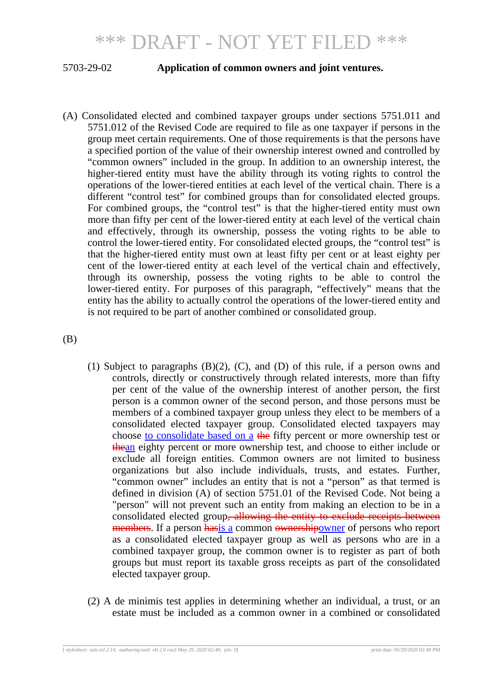## 5703-29-02 **Application of common owners and joint ventures.**

(A) Consolidated elected and combined taxpayer groups under sections 5751.011 and 5751.012 of the Revised Code are required to file as one taxpayer if persons in the group meet certain requirements. One of those requirements is that the persons have a specified portion of the value of their ownership interest owned and controlled by "common owners" included in the group. In addition to an ownership interest, the higher-tiered entity must have the ability through its voting rights to control the operations of the lower-tiered entities at each level of the vertical chain. There is a different "control test" for combined groups than for consolidated elected groups. For combined groups, the "control test" is that the higher-tiered entity must own more than fifty per cent of the lower-tiered entity at each level of the vertical chain and effectively, through its ownership, possess the voting rights to be able to control the lower-tiered entity. For consolidated elected groups, the "control test" is that the higher-tiered entity must own at least fifty per cent or at least eighty per cent of the lower-tiered entity at each level of the vertical chain and effectively, through its ownership, possess the voting rights to be able to control the lower-tiered entity. For purposes of this paragraph, "effectively" means that the entity has the ability to actually control the operations of the lower-tiered entity and is not required to be part of another combined or consolidated group.

(B)

- (1) Subject to paragraphs (B)(2), (C), and (D) of this rule, if a person owns and controls, directly or constructively through related interests, more than fifty per cent of the value of the ownership interest of another person, the first person is a common owner of the second person, and those persons must be members of a combined taxpayer group unless they elect to be members of a consolidated elected taxpayer group. Consolidated elected taxpayers may choose to consolidate based on a the fifty percent or more ownership test or thean eighty percent or more ownership test, and choose to either include or exclude all foreign entities. Common owners are not limited to business organizations but also include individuals, trusts, and estates. Further, "common owner" includes an entity that is not a "person" as that termed is defined in division (A) of section 5751.01 of the Revised Code. Not being a "person" will not prevent such an entity from making an election to be in a consolidated elected group<del>, allowing the entity to exclude receipts between</del> members. If a person hasis a common ownershipowner of persons who report as a consolidated elected taxpayer group as well as persons who are in a combined taxpayer group, the common owner is to register as part of both groups but must report its taxable gross receipts as part of the consolidated elected taxpayer group.
- (2) A de minimis test applies in determining whether an individual, a trust, or an estate must be included as a common owner in a combined or consolidated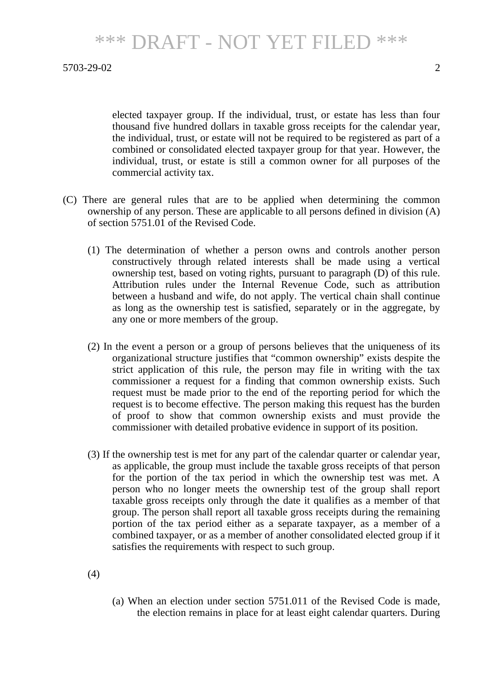elected taxpayer group. If the individual, trust, or estate has less than four thousand five hundred dollars in taxable gross receipts for the calendar year, the individual, trust, or estate will not be required to be registered as part of a combined or consolidated elected taxpayer group for that year. However, the individual, trust, or estate is still a common owner for all purposes of the commercial activity tax.

- (C) There are general rules that are to be applied when determining the common ownership of any person. These are applicable to all persons defined in division (A) of section 5751.01 of the Revised Code.
	- (1) The determination of whether a person owns and controls another person constructively through related interests shall be made using a vertical ownership test, based on voting rights, pursuant to paragraph (D) of this rule. Attribution rules under the Internal Revenue Code, such as attribution between a husband and wife, do not apply. The vertical chain shall continue as long as the ownership test is satisfied, separately or in the aggregate, by any one or more members of the group.
	- (2) In the event a person or a group of persons believes that the uniqueness of its organizational structure justifies that "common ownership" exists despite the strict application of this rule, the person may file in writing with the tax commissioner a request for a finding that common ownership exists. Such request must be made prior to the end of the reporting period for which the request is to become effective. The person making this request has the burden of proof to show that common ownership exists and must provide the commissioner with detailed probative evidence in support of its position.
	- (3) If the ownership test is met for any part of the calendar quarter or calendar year, as applicable, the group must include the taxable gross receipts of that person for the portion of the tax period in which the ownership test was met. A person who no longer meets the ownership test of the group shall report taxable gross receipts only through the date it qualifies as a member of that group. The person shall report all taxable gross receipts during the remaining portion of the tax period either as a separate taxpayer, as a member of a combined taxpayer, or as a member of another consolidated elected group if it satisfies the requirements with respect to such group.

(4)

(a) When an election under section 5751.011 of the Revised Code is made, the election remains in place for at least eight calendar quarters. During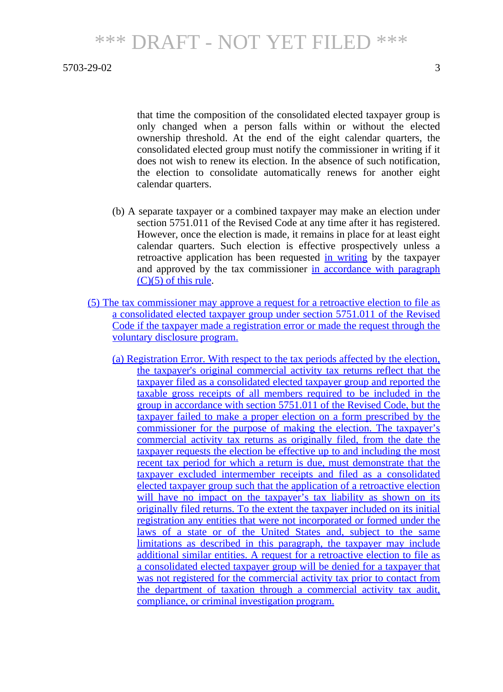that time the composition of the consolidated elected taxpayer group is only changed when a person falls within or without the elected ownership threshold. At the end of the eight calendar quarters, the consolidated elected group must notify the commissioner in writing if it does not wish to renew its election. In the absence of such notification, the election to consolidate automatically renews for another eight calendar quarters.

- (b) A separate taxpayer or a combined taxpayer may make an election under section 5751.011 of the Revised Code at any time after it has registered. However, once the election is made, it remains in place for at least eight calendar quarters. Such election is effective prospectively unless a retroactive application has been requested in writing by the taxpayer and approved by the tax commissioner in accordance with paragraph (C)(5) of this rule.
- (5) The tax commissioner may approve a request for a retroactive election to file as a consolidated elected taxpayer group under section 5751.011 of the Revised Code if the taxpayer made a registration error or made the request through the voluntary disclosure program.
	- (a) Registration Error. With respect to the tax periods affected by the election, the taxpayer's original commercial activity tax returns reflect that the taxpayer filed as a consolidated elected taxpayer group and reported the taxable gross receipts of all members required to be included in the group in accordance with section 5751.011 of the Revised Code, but the taxpayer failed to make a proper election on a form prescribed by the commissioner for the purpose of making the election. The taxpayer's commercial activity tax returns as originally filed, from the date the taxpayer requests the election be effective up to and including the most recent tax period for which a return is due, must demonstrate that the taxpayer excluded intermember receipts and filed as a consolidated elected taxpayer group such that the application of a retroactive election will have no impact on the taxpayer's tax liability as shown on its originally filed returns. To the extent the taxpayer included on its initial registration any entities that were not incorporated or formed under the laws of a state or of the United States and, subject to the same limitations as described in this paragraph, the taxpayer may include additional similar entities. A request for a retroactive election to file as a consolidated elected taxpayer group will be denied for a taxpayer that was not registered for the commercial activity tax prior to contact from the department of taxation through a commercial activity tax audit, compliance, or criminal investigation program.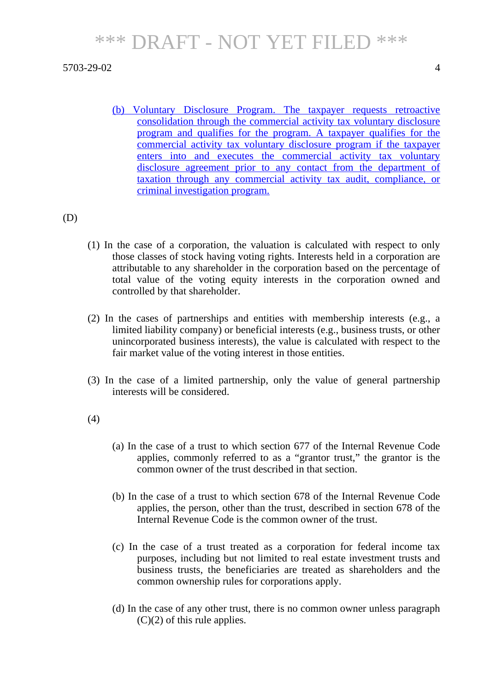(b) Voluntary Disclosure Program. The taxpayer requests retroactive consolidation through the commercial activity tax voluntary disclosure program and qualifies for the program. A taxpayer qualifies for the commercial activity tax voluntary disclosure program if the taxpayer enters into and executes the commercial activity tax voluntary disclosure agreement prior to any contact from the department of taxation through any commercial activity tax audit, compliance, or criminal investigation program.

(D)

- (1) In the case of a corporation, the valuation is calculated with respect to only those classes of stock having voting rights. Interests held in a corporation are attributable to any shareholder in the corporation based on the percentage of total value of the voting equity interests in the corporation owned and controlled by that shareholder.
- (2) In the cases of partnerships and entities with membership interests (e.g., a limited liability company) or beneficial interests (e.g., business trusts, or other unincorporated business interests), the value is calculated with respect to the fair market value of the voting interest in those entities.
- (3) In the case of a limited partnership, only the value of general partnership interests will be considered.

## (4)

- (a) In the case of a trust to which section 677 of the Internal Revenue Code applies, commonly referred to as a "grantor trust," the grantor is the common owner of the trust described in that section.
- (b) In the case of a trust to which section 678 of the Internal Revenue Code applies, the person, other than the trust, described in section 678 of the Internal Revenue Code is the common owner of the trust.
- (c) In the case of a trust treated as a corporation for federal income tax purposes, including but not limited to real estate investment trusts and business trusts, the beneficiaries are treated as shareholders and the common ownership rules for corporations apply.
- (d) In the case of any other trust, there is no common owner unless paragraph  $(C)(2)$  of this rule applies.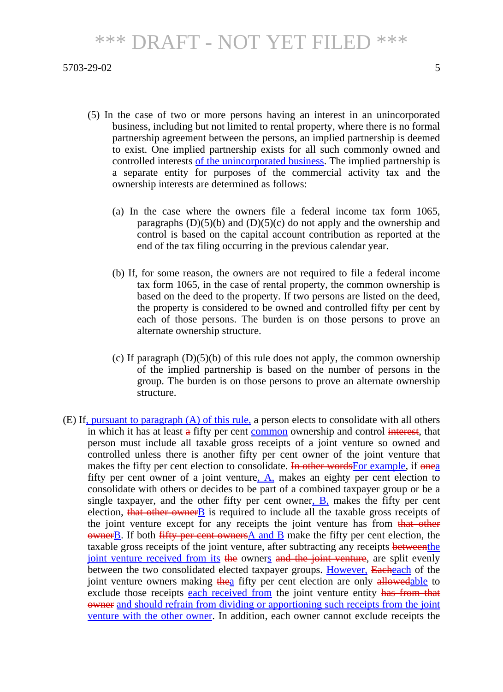- (5) In the case of two or more persons having an interest in an unincorporated business, including but not limited to rental property, where there is no formal partnership agreement between the persons, an implied partnership is deemed to exist. One implied partnership exists for all such commonly owned and controlled interests of the unincorporated business. The implied partnership is a separate entity for purposes of the commercial activity tax and the ownership interests are determined as follows:
	- (a) In the case where the owners file a federal income tax form 1065, paragraphs  $(D)(5)(b)$  and  $(D)(5)(c)$  do not apply and the ownership and control is based on the capital account contribution as reported at the end of the tax filing occurring in the previous calendar year.
	- (b) If, for some reason, the owners are not required to file a federal income tax form 1065, in the case of rental property, the common ownership is based on the deed to the property. If two persons are listed on the deed, the property is considered to be owned and controlled fifty per cent by each of those persons. The burden is on those persons to prove an alternate ownership structure.
	- (c) If paragraph  $(D)(5)(b)$  of this rule does not apply, the common ownership of the implied partnership is based on the number of persons in the group. The burden is on those persons to prove an alternate ownership structure.
- (E) If, pursuant to paragraph  $(A)$  of this rule, a person elects to consolidate with all others in which it has at least a fifty per cent common ownership and control interest, that person must include all taxable gross receipts of a joint venture so owned and controlled unless there is another fifty per cent owner of the joint venture that makes the fifty per cent election to consolidate. In other words For example, if onea fifty per cent owner of a joint venture,  $\overline{A}$ , makes an eighty per cent election to consolidate with others or decides to be part of a combined taxpayer group or be a single taxpayer, and the other fifty per cent owner,  $\overline{B}$ , makes the fifty per cent election, that other owner  $\overline{B}$  is required to include all the taxable gross receipts of the joint venture except for any receipts the joint venture has from that other  $o$ wner $\underline{B}$ . If both fifty per cent owners $\underline{A}$  and  $\underline{B}$  make the fifty per cent election, the taxable gross receipts of the joint venture, after subtracting any receipts **betweenthe** joint venture received from its the owners and the joint venture, are split evenly between the two consolidated elected taxpayer groups. However, Eacheach of the joint venture owners making the a fifty per cent election are only allowedable to exclude those receipts each received from the joint venture entity has from that owner and should refrain from dividing or apportioning such receipts from the joint venture with the other owner. In addition, each owner cannot exclude receipts the